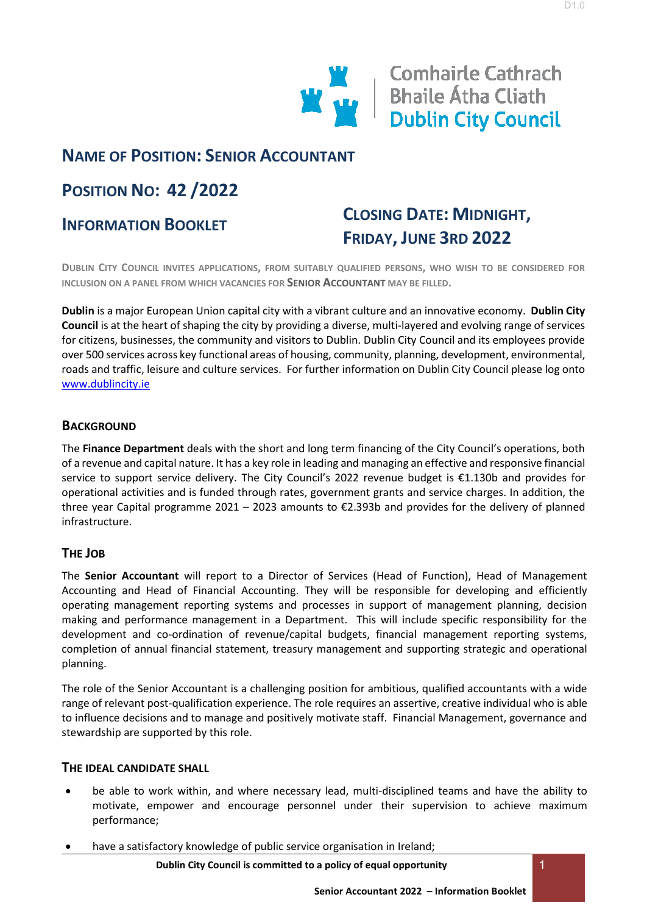

**Comhairle Cathrach W** Bhaile Átha Cliath<br>Dublin City Council

D1.0

## **NAME OF POSITION: SENIOR ACCOUNTANT**

# **POSITION NO: 42 /2022**

## **INFORMATION BOOKLET**

# **CLOSING DATE: MIDNIGHT, FRIDAY, JUNE 3RD 2022**

**DUBLIN CITY COUNCIL INVITES APPLICATIONS, FROM SUITABLY QUALIFIED PERSONS, WHO WISH TO BE CONSIDERED FOR INCLUSION ON A PANEL FROM WHICH VACANCIES FOR SENIOR ACCOUNTANT MAY BE FILLED.**

**Dublin** is a major European Union capital city with a vibrant culture and an innovative economy. **Dublin City Council** is at the heart of shaping the city by providing a diverse, multi-layered and evolving range of services for citizens, businesses, the community and visitors to Dublin. Dublin City Council and its employees provide over 500 services across key functional areas of housing, community, planning, development, environmental, roads and traffic, leisure and culture services. For further information on Dublin City Council please log onto [www.dublincity.ie](http://#)

## **BACKGROUND**

The **Finance Department** deals with the short and long term financing of the City Council's operations, both of a revenue and capital nature. It has a key role in leading and managing an effective and responsive financial service to support service delivery. The City Council's 2022 revenue budget is €1.130b and provides for operational activities and is funded through rates, government grants and service charges. In addition, the three year Capital programme 2021 – 2023 amounts to €2.393b and provides for the delivery of planned infrastructure.

## **THE JOB**

The **Senior Accountant** will report to a Director of Services (Head of Function), Head of Management Accounting and Head of Financial Accounting. They will be responsible for developing and efficiently operating management reporting systems and processes in support of management planning, decision making and performance management in a Department. This will include specific responsibility for the development and co-ordination of revenue/capital budgets, financial management reporting systems, completion of annual financial statement, treasury management and supporting strategic and operational planning.

The role of the Senior Accountant is a challenging position for ambitious, qualified accountants with a wide range of relevant post-qualification experience. The role requires an assertive, creative individual who is able to influence decisions and to manage and positively motivate staff. Financial Management, governance and stewardship are supported by this role.

#### **THE IDEAL CANDIDATE SHALL**

- be able to work within, and where necessary lead, multi-disciplined teams and have the ability to motivate, empower and encourage personnel under their supervision to achieve maximum performance;
- have a satisfactory knowledge of public service organisation in Ireland;

**Dublin City Council is committed to a policy of equal opportunity**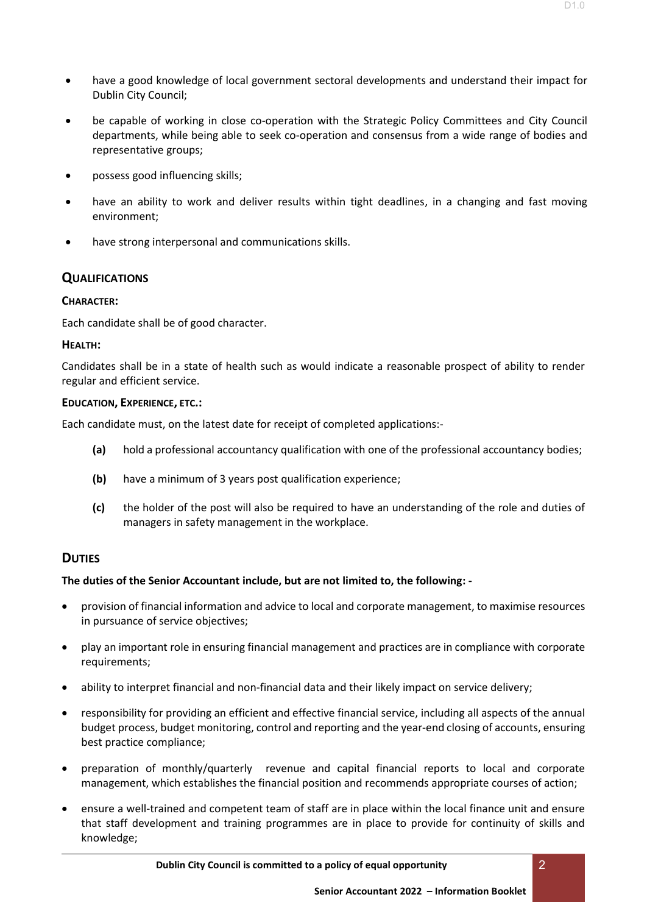- have a good knowledge of local government sectoral developments and understand their impact for Dublin City Council;
- be capable of working in close co-operation with the Strategic Policy Committees and City Council departments, while being able to seek co-operation and consensus from a wide range of bodies and representative groups;
- possess good influencing skills;
- have an ability to work and deliver results within tight deadlines, in a changing and fast moving environment;
- have strong interpersonal and communications skills.

## **QUALIFICATIONS**

#### **CHARACTER:**

Each candidate shall be of good character.

#### **HEALTH:**

Candidates shall be in a state of health such as would indicate a reasonable prospect of ability to render regular and efficient service.

#### **EDUCATION, EXPERIENCE, ETC.:**

Each candidate must, on the latest date for receipt of completed applications:-

- **(a)** hold a professional accountancy qualification with one of the professional accountancy bodies;
- **(b)** have a minimum of 3 years post qualification experience;
- **(c)** the holder of the post will also be required to have an understanding of the role and duties of managers in safety management in the workplace.

## **DUTIES**

#### **The duties of the Senior Accountant include, but are not limited to, the following: -**

- provision of financial information and advice to local and corporate management, to maximise resources in pursuance of service objectives;
- play an important role in ensuring financial management and practices are in compliance with corporate requirements;
- ability to interpret financial and non-financial data and their likely impact on service delivery;
- responsibility for providing an efficient and effective financial service, including all aspects of the annual budget process, budget monitoring, control and reporting and the year-end closing of accounts, ensuring best practice compliance;
- preparation of monthly/quarterly revenue and capital financial reports to local and corporate management, which establishes the financial position and recommends appropriate courses of action;
- ensure a well-trained and competent team of staff are in place within the local finance unit and ensure that staff development and training programmes are in place to provide for continuity of skills and knowledge;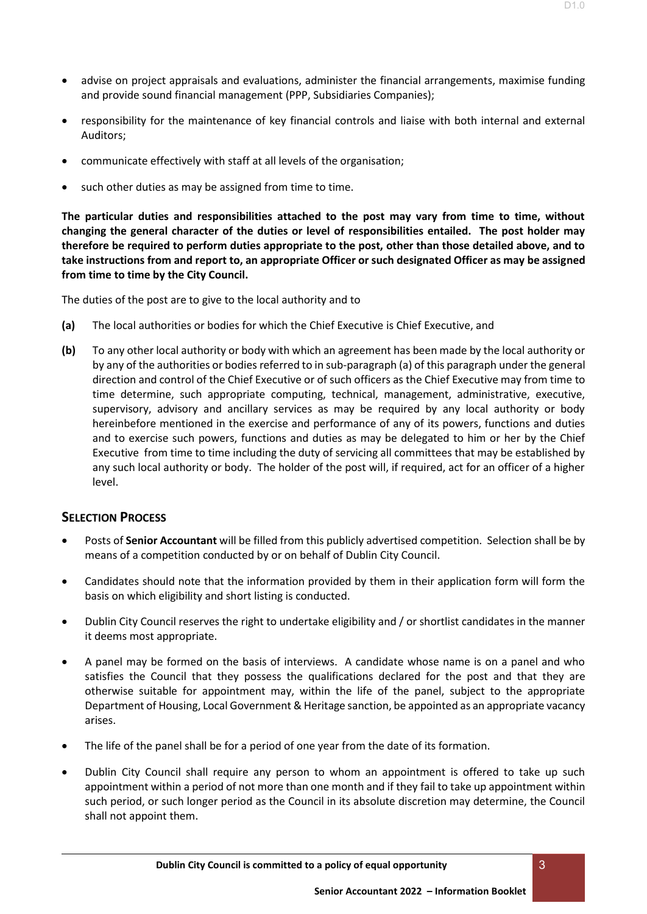- advise on project appraisals and evaluations, administer the financial arrangements, maximise funding and provide sound financial management (PPP, Subsidiaries Companies);
- responsibility for the maintenance of key financial controls and liaise with both internal and external Auditors;
- communicate effectively with staff at all levels of the organisation;
- such other duties as may be assigned from time to time.

**The particular duties and responsibilities attached to the post may vary from time to time, without changing the general character of the duties or level of responsibilities entailed. The post holder may therefore be required to perform duties appropriate to the post, other than those detailed above, and to take instructions from and report to, an appropriate Officer or such designated Officer as may be assigned from time to time by the City Council.**

The duties of the post are to give to the local authority and to

- **(a)** The local authorities or bodies for which the Chief Executive is Chief Executive, and
- **(b)** To any other local authority or body with which an agreement has been made by the local authority or by any of the authorities or bodies referred to in sub-paragraph (a) of this paragraph under the general direction and control of the Chief Executive or of such officers as the Chief Executive may from time to time determine, such appropriate computing, technical, management, administrative, executive, supervisory, advisory and ancillary services as may be required by any local authority or body hereinbefore mentioned in the exercise and performance of any of its powers, functions and duties and to exercise such powers, functions and duties as may be delegated to him or her by the Chief Executive from time to time including the duty of servicing all committees that may be established by any such local authority or body. The holder of the post will, if required, act for an officer of a higher level.

## **SELECTION PROCESS**

- Posts of **Senior Accountant** will be filled from this publicly advertised competition. Selection shall be by means of a competition conducted by or on behalf of Dublin City Council.
- Candidates should note that the information provided by them in their application form will form the basis on which eligibility and short listing is conducted.
- Dublin City Council reserves the right to undertake eligibility and / or shortlist candidates in the manner it deems most appropriate.
- A panel may be formed on the basis of interviews. A candidate whose name is on a panel and who satisfies the Council that they possess the qualifications declared for the post and that they are otherwise suitable for appointment may, within the life of the panel, subject to the appropriate Department of Housing, Local Government & Heritage sanction, be appointed as an appropriate vacancy arises.
- The life of the panel shall be for a period of one year from the date of its formation.
- Dublin City Council shall require any person to whom an appointment is offered to take up such appointment within a period of not more than one month and if they fail to take up appointment within such period, or such longer period as the Council in its absolute discretion may determine, the Council shall not appoint them.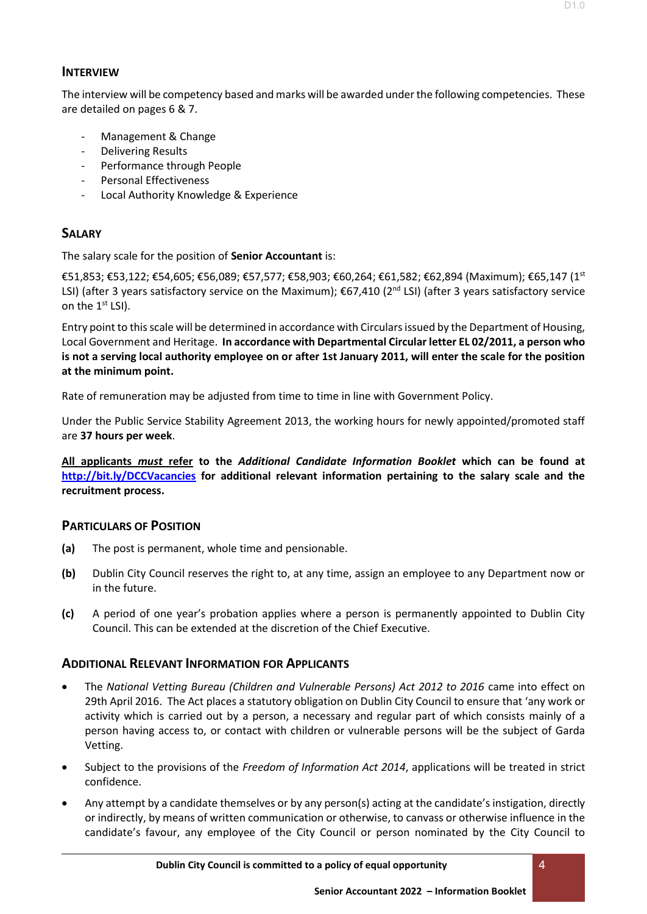The interview will be competency based and marks will be awarded under the following competencies. These are detailed on pages 6 & 7.

- Management & Change
- Delivering Results
- Performance through People
- Personal Effectiveness
- Local Authority Knowledge & Experience

## **SALARY**

The salary scale for the position of **Senior Accountant** is:

€51,853; €53,122; €54,605; €56,089; €57,577; €58,903; €60,264; €61,582; €62,894 (Maximum); €65,147 (1st LSI) (after 3 years satisfactory service on the Maximum); €67,410 (2<sup>nd</sup> LSI) (after 3 years satisfactory service on the 1<sup>st</sup> LSI).

Entry point to this scale will be determined in accordance with Circulars issued by the Department of Housing, Local Government and Heritage. **In accordance with Departmental Circular letter EL 02/2011, a person who is not a serving local authority employee on or after 1st January 2011, will enter the scale for the position at the minimum point.**

Rate of remuneration may be adjusted from time to time in line with Government Policy.

Under the Public Service Stability Agreement 2013, the working hours for newly appointed/promoted staff are **37 hours per week**.

**All applicants** *must* **refer to the** *Additional Candidate Information Booklet* **which can be found at [http://bit.ly/DCCVacancies](http://#) for additional relevant information pertaining to the salary scale and the recruitment process.** 

## **PARTICULARS OF POSITION**

- **(a)** The post is permanent, whole time and pensionable.
- **(b)** Dublin City Council reserves the right to, at any time, assign an employee to any Department now or in the future.
- **(c)** A period of one year's probation applies where a person is permanently appointed to Dublin City Council. This can be extended at the discretion of the Chief Executive.

## **ADDITIONAL RELEVANT INFORMATION FOR APPLICANTS**

- The *National Vetting Bureau (Children and Vulnerable Persons) Act 2012 to 2016* came into effect on 29th April 2016. The Act places a statutory obligation on Dublin City Council to ensure that 'any work or activity which is carried out by a person, a necessary and regular part of which consists mainly of a person having access to, or contact with children or vulnerable persons will be the subject of Garda Vetting.
- Subject to the provisions of the *Freedom of Information Act 2014*, applications will be treated in strict confidence.
- Any attempt by a candidate themselves or by any person(s) acting at the candidate's instigation, directly or indirectly, by means of written communication or otherwise, to canvass or otherwise influence in the candidate's favour, any employee of the City Council or person nominated by the City Council to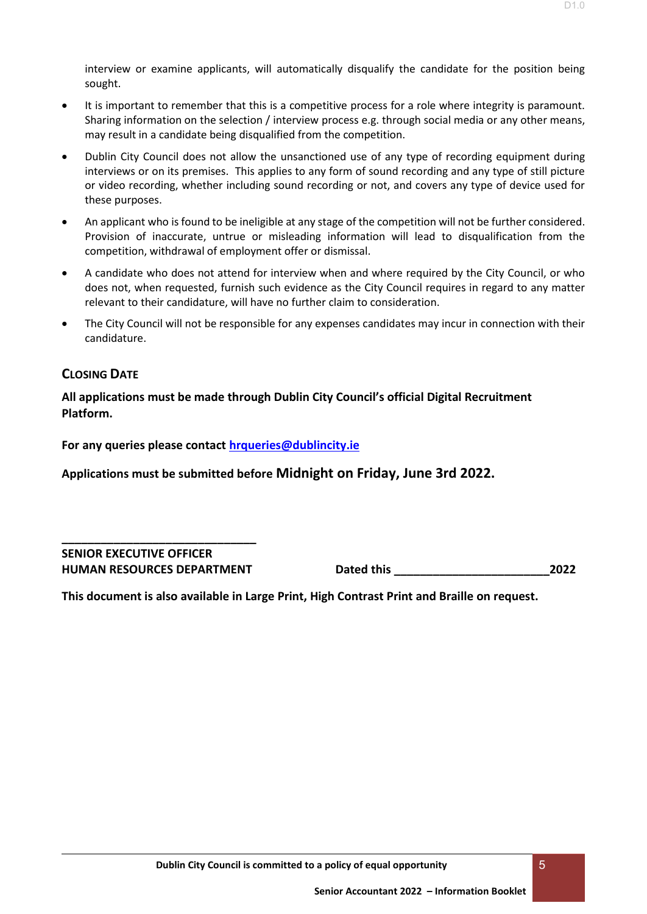- It is important to remember that this is a competitive process for a role where integrity is paramount. Sharing information on the selection / interview process e.g. through social media or any other means, may result in a candidate being disqualified from the competition.
- Dublin City Council does not allow the unsanctioned use of any type of recording equipment during interviews or on its premises. This applies to any form of sound recording and any type of still picture or video recording, whether including sound recording or not, and covers any type of device used for these purposes.
- An applicant who is found to be ineligible at any stage of the competition will not be further considered. Provision of inaccurate, untrue or misleading information will lead to disqualification from the competition, withdrawal of employment offer or dismissal.
- A candidate who does not attend for interview when and where required by the City Council, or who does not, when requested, furnish such evidence as the City Council requires in regard to any matter relevant to their candidature, will have no further claim to consideration.
- The City Council will not be responsible for any expenses candidates may incur in connection with their candidature.

## **CLOSING DATE**

**All applications must be made through Dublin City Council's official Digital Recruitment Platform.** 

**For any queries please contact [hrqueries@dublincity.ie](http://#)**

**Applications must be submitted before Midnight on Friday, June 3rd 2022.**

**\_\_\_\_\_\_\_\_\_\_\_\_\_\_\_\_\_\_\_\_\_\_\_\_\_\_\_\_\_\_ SENIOR EXECUTIVE OFFICER**

**HUMAN RESOURCES DEPARTMENT Dated this \_\_\_\_\_\_\_\_\_\_\_\_\_\_\_\_\_\_\_\_\_\_\_\_2022**

**This document is also available in Large Print, High Contrast Print and Braille on request.**

D1.0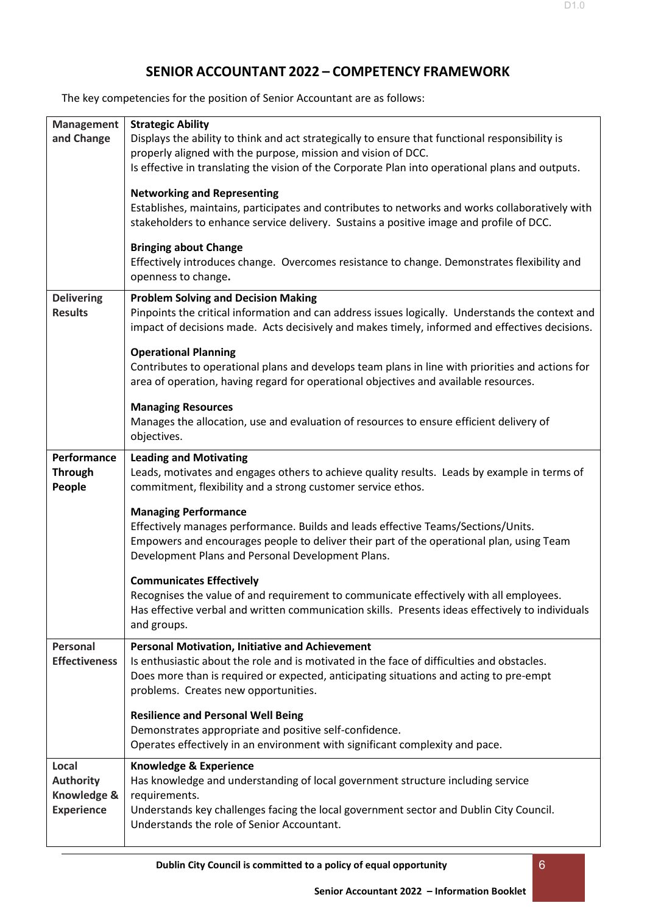The key competencies for the position of Senior Accountant are as follows:

| <b>Management</b>    | <b>Strategic Ability</b>                                                                                             |
|----------------------|----------------------------------------------------------------------------------------------------------------------|
| and Change           | Displays the ability to think and act strategically to ensure that functional responsibility is                      |
|                      | properly aligned with the purpose, mission and vision of DCC.                                                        |
|                      | Is effective in translating the vision of the Corporate Plan into operational plans and outputs.                     |
|                      | <b>Networking and Representing</b>                                                                                   |
|                      | Establishes, maintains, participates and contributes to networks and works collaboratively with                      |
|                      | stakeholders to enhance service delivery. Sustains a positive image and profile of DCC.                              |
|                      |                                                                                                                      |
|                      | <b>Bringing about Change</b>                                                                                         |
|                      | Effectively introduces change. Overcomes resistance to change. Demonstrates flexibility and                          |
|                      | openness to change.                                                                                                  |
| <b>Delivering</b>    | <b>Problem Solving and Decision Making</b>                                                                           |
| <b>Results</b>       | Pinpoints the critical information and can address issues logically. Understands the context and                     |
|                      | impact of decisions made. Acts decisively and makes timely, informed and effectives decisions.                       |
|                      | <b>Operational Planning</b>                                                                                          |
|                      | Contributes to operational plans and develops team plans in line with priorities and actions for                     |
|                      | area of operation, having regard for operational objectives and available resources.                                 |
|                      |                                                                                                                      |
|                      | <b>Managing Resources</b>                                                                                            |
|                      | Manages the allocation, use and evaluation of resources to ensure efficient delivery of                              |
|                      | objectives.                                                                                                          |
| Performance          | <b>Leading and Motivating</b>                                                                                        |
| Through              | Leads, motivates and engages others to achieve quality results. Leads by example in terms of                         |
| People               | commitment, flexibility and a strong customer service ethos.                                                         |
|                      | <b>Managing Performance</b>                                                                                          |
|                      | Effectively manages performance. Builds and leads effective Teams/Sections/Units.                                    |
|                      | Empowers and encourages people to deliver their part of the operational plan, using Team                             |
|                      | Development Plans and Personal Development Plans.                                                                    |
|                      | <b>Communicates Effectively</b>                                                                                      |
|                      | Recognises the value of and requirement to communicate effectively with all employees.                               |
|                      | Has effective verbal and written communication skills. Presents ideas effectively to individuals                     |
|                      | and groups.                                                                                                          |
| Personal             | <b>Personal Motivation, Initiative and Achievement</b>                                                               |
| <b>Effectiveness</b> | Is enthusiastic about the role and is motivated in the face of difficulties and obstacles.                           |
|                      | Does more than is required or expected, anticipating situations and acting to pre-empt                               |
|                      | problems. Creates new opportunities.                                                                                 |
|                      | <b>Resilience and Personal Well Being</b>                                                                            |
|                      | Demonstrates appropriate and positive self-confidence.                                                               |
|                      | Operates effectively in an environment with significant complexity and pace.                                         |
| Local                |                                                                                                                      |
| <b>Authority</b>     | <b>Knowledge &amp; Experience</b><br>Has knowledge and understanding of local government structure including service |
| Knowledge &          | requirements.                                                                                                        |
| <b>Experience</b>    | Understands key challenges facing the local government sector and Dublin City Council.                               |
|                      | Understands the role of Senior Accountant.                                                                           |
|                      |                                                                                                                      |

D1.0